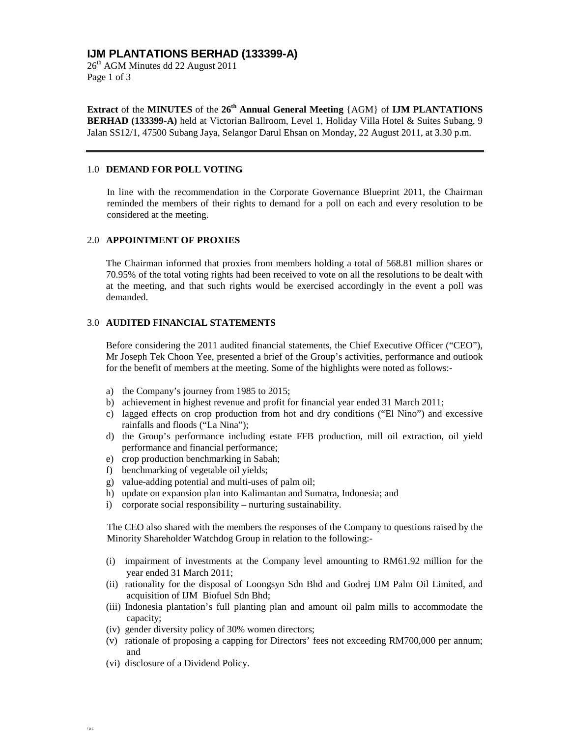# **IJM PLANTATIONS BERHAD (133399-A)**

 $26<sup>th</sup>$  AGM Minutes dd 22 August 2011 Page 1 of 3

**Extract** of the **MINUTES** of the **26th Annual General Meeting** {AGM} of **IJM PLANTATIONS BERHAD (133399-A)** held at Victorian Ballroom, Level 1, Holiday Villa Hotel & Suites Subang, 9 Jalan SS12/1, 47500 Subang Jaya, Selangor Darul Ehsan on Monday, 22 August 2011, at 3.30 p.m.

#### 1.0 **DEMAND FOR POLL VOTING**

In line with the recommendation in the Corporate Governance Blueprint 2011, the Chairman reminded the members of their rights to demand for a poll on each and every resolution to be considered at the meeting.

#### 2.0 **APPOINTMENT OF PROXIES**

The Chairman informed that proxies from members holding a total of 568.81 million shares or 70.95% of the total voting rights had been received to vote on all the resolutions to be dealt with at the meeting, and that such rights would be exercised accordingly in the event a poll was demanded.

#### 3.0 **AUDITED FINANCIAL STATEMENTS**

Before considering the 2011 audited financial statements, the Chief Executive Officer ("CEO"), Mr Joseph Tek Choon Yee, presented a brief of the Group's activities, performance and outlook for the benefit of members at the meeting. Some of the highlights were noted as follows:-

- a) the Company's journey from 1985 to 2015;
- b) achievement in highest revenue and profit for financial year ended 31 March 2011;
- c) lagged effects on crop production from hot and dry conditions ("El Nino") and excessive rainfalls and floods ("La Nina");
- d) the Group's performance including estate FFB production, mill oil extraction, oil yield performance and financial performance;
- e) crop production benchmarking in Sabah;
- f) benchmarking of vegetable oil yields;
- g) value-adding potential and multi-uses of palm oil;
- h) update on expansion plan into Kalimantan and Sumatra, Indonesia; and
- i) corporate social responsibility nurturing sustainability.

The CEO also shared with the members the responses of the Company to questions raised by the Minority Shareholder Watchdog Group in relation to the following:-

- (i) impairment of investments at the Company level amounting to RM61.92 million for the year ended 31 March 2011;
- (ii) rationality for the disposal of Loongsyn Sdn Bhd and Godrej IJM Palm Oil Limited, and acquisition of IJM Biofuel Sdn Bhd;
- (iii) Indonesia plantation's full planting plan and amount oil palm mills to accommodate the capacity;
- (iv) gender diversity policy of 30% women directors;
- (v) rationale of proposing a capping for Directors' fees not exceeding RM700,000 per annum; and
- (vi) disclosure of a Dividend Policy.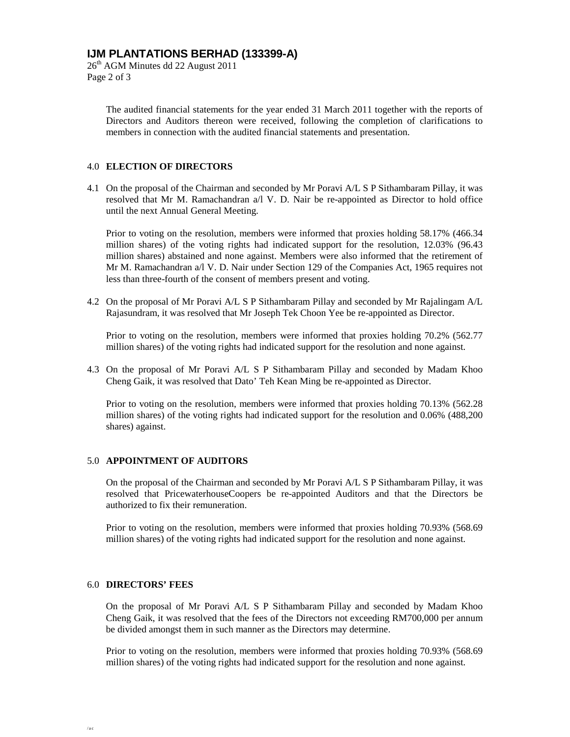# **IJM PLANTATIONS BERHAD (133399-A)**

26th AGM Minutes dd 22 August 2011 Page 2 of 3

> The audited financial statements for the year ended 31 March 2011 together with the reports of Directors and Auditors thereon were received, following the completion of clarifications to members in connection with the audited financial statements and presentation.

### 4.0 **ELECTION OF DIRECTORS**

4.1 On the proposal of the Chairman and seconded by Mr Poravi A/L S P Sithambaram Pillay, it was resolved that Mr M. Ramachandran a/l V. D. Nair be re-appointed as Director to hold office until the next Annual General Meeting.

Prior to voting on the resolution, members were informed that proxies holding 58.17% (466.34 million shares) of the voting rights had indicated support for the resolution, 12.03% (96.43 million shares) abstained and none against. Members were also informed that the retirement of Mr M. Ramachandran a/l V. D. Nair under Section 129 of the Companies Act, 1965 requires not less than three-fourth of the consent of members present and voting.

4.2 On the proposal of Mr Poravi A/L S P Sithambaram Pillay and seconded by Mr Rajalingam A/L Rajasundram, it was resolved that Mr Joseph Tek Choon Yee be re-appointed as Director.

Prior to voting on the resolution, members were informed that proxies holding 70.2% (562.77 million shares) of the voting rights had indicated support for the resolution and none against.

4.3 On the proposal of Mr Poravi A/L S P Sithambaram Pillay and seconded by Madam Khoo Cheng Gaik, it was resolved that Dato' Teh Kean Ming be re-appointed as Director.

Prior to voting on the resolution, members were informed that proxies holding 70.13% (562.28 million shares) of the voting rights had indicated support for the resolution and 0.06% (488,200 shares) against.

### 5.0 **APPOINTMENT OF AUDITORS**

On the proposal of the Chairman and seconded by Mr Poravi A/L S P Sithambaram Pillay, it was resolved that PricewaterhouseCoopers be re-appointed Auditors and that the Directors be authorized to fix their remuneration.

Prior to voting on the resolution, members were informed that proxies holding 70.93% (568.69 million shares) of the voting rights had indicated support for the resolution and none against.

### 6.0 **DIRECTORS' FEES**

On the proposal of Mr Poravi A/L S P Sithambaram Pillay and seconded by Madam Khoo Cheng Gaik, it was resolved that the fees of the Directors not exceeding RM700,000 per annum be divided amongst them in such manner as the Directors may determine.

Prior to voting on the resolution, members were informed that proxies holding 70.93% (568.69 million shares) of the voting rights had indicated support for the resolution and none against.